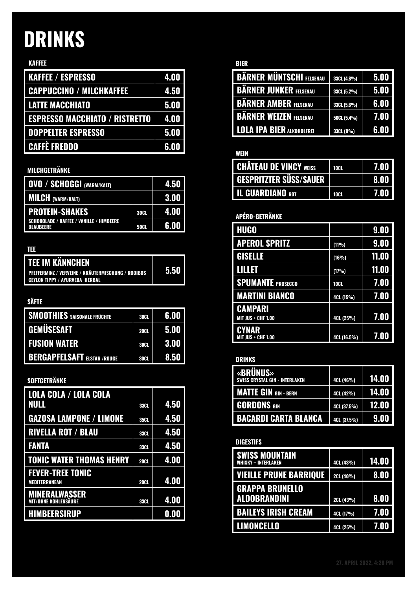# DRINKS

### KAFFEE

| <b>KAFFEE / ESPRESSO</b>              | 4.00 |
|---------------------------------------|------|
| <b>CAPPUCCINO / MILCHKAFFEE</b>       | 4.50 |
| <b>LATTE MACCHIATO</b>                | 5.00 |
| <b>ESPRESSO MACCHIATO / RISTRETTO</b> | 4.00 |
| <b>DOPPELTER ESPRESSO</b>             | 5.00 |
| <b>CAFFÈ FREDDO</b>                   | 6.00 |

### MILCHGETRÄNKE

| <b>OVO / SCHOGGI (WARM/KALT)</b>                             |             | 4.50 |
|--------------------------------------------------------------|-------------|------|
| <b>MILCH</b> (WARM/KALT)                                     |             | 3.00 |
| <b>PROTEIN-SHAKES</b>                                        | <b>30CL</b> | 4.00 |
| <b>SCHOKOLADE / KAFFEE / VANILLE / HIMBEERE</b><br>BLAUBEERE | <b>50CL</b> | 6.00 |

#### TEE

| <b>TEE IM KÄNNCHEN</b>                                                               |      |
|--------------------------------------------------------------------------------------|------|
| PFEFFERMINZ / VERVEINE / KRÄUTERMISCHUNG / ROOIBOS<br>CEYLON TIPPY / AYURVEDA HERBAL | 5.50 |

#### SÄFTE

| <b>SMOOTHIES</b> SAISONALE FRÜCHTE | <b>30CL</b> | 6.00        |
|------------------------------------|-------------|-------------|
| <b>GEMÜSESAFT</b>                  | <b>20CL</b> | 5.00        |
| <b>FUSION WATER</b>                | <b>30CL</b> | <b>3.00</b> |
| <b>BERGAPFELSAFT ELSTAR /ROUGE</b> | <b>30CL</b> | 8.50        |

# SOFTGETRÄNKE

| LOLA COLA / LOLA COLA                               |             |      |
|-----------------------------------------------------|-------------|------|
| NULL                                                | <b>33CL</b> | 4.50 |
| <b>GAZOSA LAMPONE / LIMONE</b>                      | <b>35CI</b> | 4.50 |
| <b>RIVELLA ROT / BLAU</b>                           | <b>33CL</b> | 4.50 |
| <b>FANTA</b>                                        | <b>33CL</b> | 4.50 |
| <b>TONIC WATER THOMAS HENRY</b>                     | <b>20CL</b> | 4.00 |
| <b>FEVER-TREE TONIC</b>                             |             |      |
| MEDITERRANEAN                                       | <b>20CL</b> | 4.00 |
| <b>MINERALWASSER</b><br><b>MIT/OHNE KOHLENSÄURE</b> | <b>33CL</b> | 4.00 |
| <b>HIMBEERSIRUP</b>                                 |             | 0.00 |

#### BIER

| <b>BÄRNER MÜNTSCHI FELSENAU</b>  | 33CL (4.8%) | 5.00 |
|----------------------------------|-------------|------|
| <b>BARNER JUNKER FELSENAU</b>    | 33CL (5.2%) | 5.00 |
| <b>BARNER AMBER FELSENAU</b>     | 33CL (5.6%) | 6.00 |
| <b>BÄRNER WEIZEN FELSENAU</b>    | 50CL (5.4%) | 7.00 |
| <b>LOLA IPA BIER ALKOHOLFREI</b> | 33CL (0%)   | 6.00 |

## WEIN

| <b>CHÂTEAU DE VINCY WEISS</b> | <b>10CL</b> | 7.00 |
|-------------------------------|-------------|------|
| <b>GESPRITZTER SÜSS/SAUER</b> |             | 8.00 |
| <b>IL GUARDIANO ROT</b>       | <b>10CL</b> | 7.00 |

# APÉRO-GETRÄNKE

| <b>HUGO</b>                                 |               | 9.00  |
|---------------------------------------------|---------------|-------|
| <b>APEROL SPRITZ</b>                        | (11%)         | 9.00  |
| <b>GISELLE</b>                              | (16%)         | 11.00 |
| HUE                                         | (17%)         | 11.00 |
| <b>SPUMANTE PROSECCO</b>                    | 10CL          | 7.00  |
| <b>MARTINI BIANCO</b>                       | 4CL (15%)     | 7.00  |
| <b>CAMPARI</b><br><b>MIT JUS + CHF 1.00</b> | 4CL (25%)     | 7.00  |
| CYNAR<br><b>MIT JUS + CHF 1.00</b>          | $4CL(16.5\%)$ | 7.00  |

#### DRINKS

| <b>«BRÜNUS»</b><br>SWISS CRYSTAL GIN - INTERLAKEN | 4CL (46%)   | 14.00 |
|---------------------------------------------------|-------------|-------|
| <b>MATTE GIN GIN - BERN</b>                       | 4CL (42%)   | 14.00 |
| <b>GORDONS</b> GIN                                | 4CL (37.5%) | 12.00 |
| <b>BACARDI CARTA BLANCA</b>                       | 4CL (37.5%) | 9.00  |

#### **DIGESTIFS**

| <b>SWISS MOUNTAIN</b><br><b>WHISKY - INTERLAKEN</b> | 4CL (43%) | <b>14.00</b> |
|-----------------------------------------------------|-----------|--------------|
| <b>VIEILLE PRUNE BARRIQUE</b>                       | 2CL (40%) | <b>8.00</b>  |
| <b>GRAPPA BRUNELLO</b><br><b>ALDOBRANDINI</b>       | 2CL (43%) | 8.00         |
| <b>BAILEYS IRISH CREAM</b>                          | 4CL (17%) | 7.00         |
| <b>LIMONCELLO</b>                                   | 4CL (25%) | 7.01         |